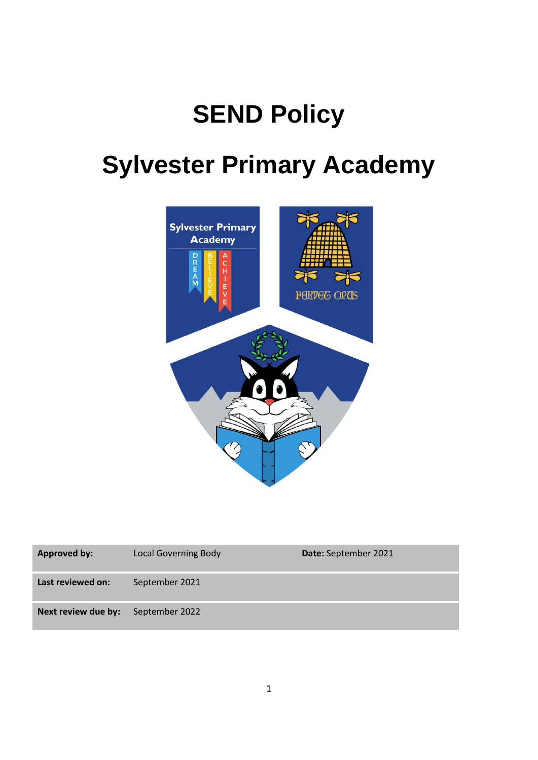## **SEND Policy**

# **Sylvester Primary Academy**



| <b>Approved by:</b> | <b>Local Governing Body</b> | Date: September 2021 |
|---------------------|-----------------------------|----------------------|
| Last reviewed on:   | September 2021              |                      |
| Next review due by: | September 2022              |                      |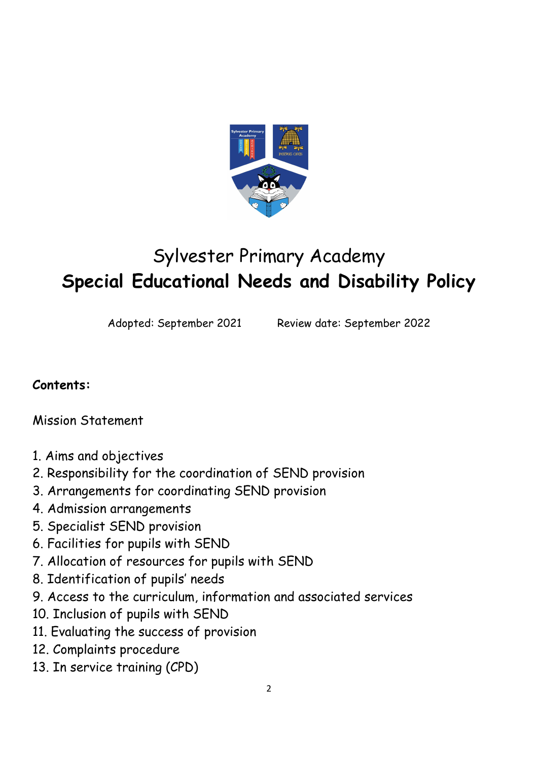

## Sylvester Primary Academy **Special Educational Needs and Disability Policy**

Adopted: September 2021 Review date: September 2022

## **Contents:**

Mission Statement

- 1. Aims and objectives
- 2. Responsibility for the coordination of SEND provision
- 3. Arrangements for coordinating SEND provision
- 4. Admission arrangements
- 5. Specialist SEND provision
- 6. Facilities for pupils with SEND
- 7. Allocation of resources for pupils with SEND
- 8. Identification of pupils' needs
- 9. Access to the curriculum, information and associated services
- 10. Inclusion of pupils with SEND
- 11. Evaluating the success of provision
- 12. Complaints procedure
- 13. In service training (CPD)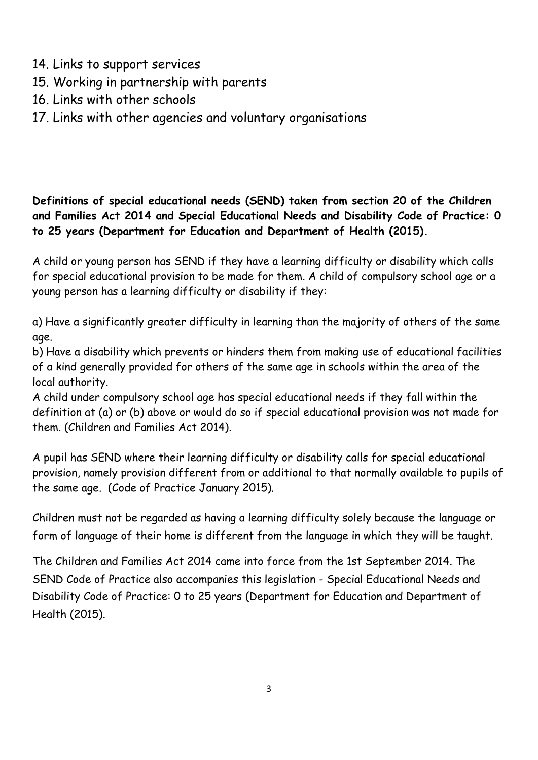- 14. Links to support services
- 15. Working in partnership with parents
- 16. Links with other schools
- 17. Links with other agencies and voluntary organisations

**Definitions of special educational needs (SEND) taken from section 20 of the Children and Families Act 2014 and Special Educational Needs and Disability Code of Practice: 0 to 25 years (Department for Education and Department of Health (2015).**

A child or young person has SEND if they have a learning difficulty or disability which calls for special educational provision to be made for them. A child of compulsory school age or a young person has a learning difficulty or disability if they:

a) Have a significantly greater difficulty in learning than the majority of others of the same age.

b) Have a disability which prevents or hinders them from making use of educational facilities of a kind generally provided for others of the same age in schools within the area of the local authority.

A child under compulsory school age has special educational needs if they fall within the definition at (a) or (b) above or would do so if special educational provision was not made for them. (Children and Families Act 2014).

A pupil has SEND where their learning difficulty or disability calls for special educational provision, namely provision different from or additional to that normally available to pupils of the same age. (Code of Practice January 2015).

Children must not be regarded as having a learning difficulty solely because the language or form of language of their home is different from the language in which they will be taught.

The Children and Families Act 2014 came into force from the 1st September 2014. The SEND Code of Practice also accompanies this legislation - Special Educational Needs and Disability Code of Practice: 0 to 25 years (Department for Education and Department of Health (2015).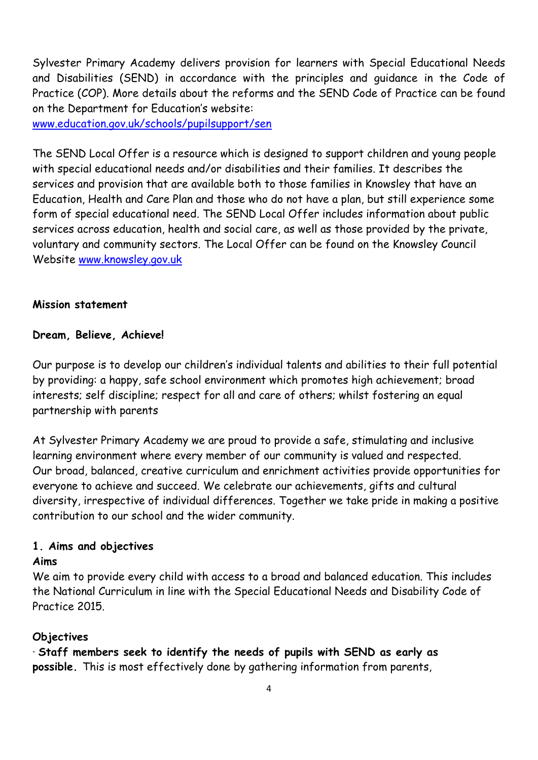Sylvester Primary Academy delivers provision for learners with Special Educational Needs and Disabilities (SEND) in accordance with the principles and guidance in the Code of Practice (COP). More details about the reforms and the SEND Code of Practice can be found on the Department for Education's website:

[www.education.gov.uk/schools/pupilsupport/sen](http://www.education.gov.uk/schools/pupilsupport/sen)

The SEND Local Offer is a resource which is designed to support children and young people with special educational needs and/or disabilities and their families. It describes the services and provision that are available both to those families in Knowsley that have an Education, Health and Care Plan and those who do not have a plan, but still experience some form of special educational need. The SEND Local Offer includes information about public services across education, health and social care, as well as those provided by the private, voluntary and community sectors. The Local Offer can be found on the Knowsley Council Website [www.knowsley.gov.uk](http://www.knowsley.gov.uk/)

#### **Mission statement**

#### **Dream, Believe, Achieve!**

Our purpose is to develop our children's individual talents and abilities to their full potential by providing: a happy, safe school environment which promotes high achievement; broad interests; self discipline; respect for all and care of others; whilst fostering an equal partnership with parents

At Sylvester Primary Academy we are proud to provide a safe, stimulating and inclusive learning environment where every member of our community is valued and respected. Our broad, balanced, creative curriculum and enrichment activities provide opportunities for everyone to achieve and succeed. We celebrate our achievements, gifts and cultural diversity, irrespective of individual differences. Together we take pride in making a positive contribution to our school and the wider community.

#### **1. Aims and objectives**

#### **Aims**

We aim to provide every child with access to a broad and balanced education. This includes the National Curriculum in line with the Special Educational Needs and Disability Code of Practice 2015.

#### **Objectives**

· **Staff members seek to identify the needs of pupils with SEND as early as possible.** This is most effectively done by gathering information from parents,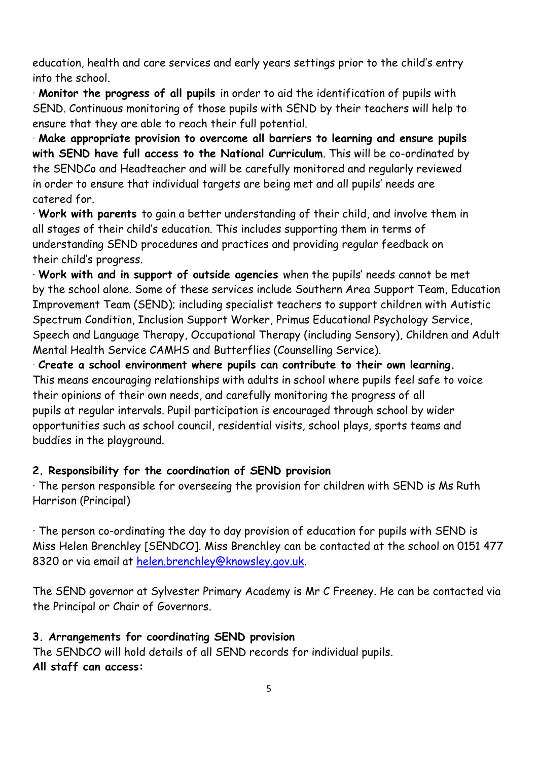education, health and care services and early years settings prior to the child's entry into the school.

· **Monitor the progress of all pupils** in order to aid the identification of pupils with SEND. Continuous monitoring of those pupils with SEND by their teachers will help to ensure that they are able to reach their full potential.

· **Make appropriate provision to overcome all barriers to learning and ensure pupils with SEND have full access to the National Curriculum**. This will be co-ordinated by the SENDCo and Headteacher and will be carefully monitored and regularly reviewed in order to ensure that individual targets are being met and all pupils' needs are catered for.

· **Work with parents** to gain a better understanding of their child, and involve them in all stages of their child's education. This includes supporting them in terms of understanding SEND procedures and practices and providing regular feedback on their child's progress.

· **Work with and in support of outside agencies** when the pupils' needs cannot be met by the school alone. Some of these services include Southern Area Support Team, Education Improvement Team (SEND); including specialist teachers to support children with Autistic Spectrum Condition, Inclusion Support Worker, Primus Educational Psychology Service, Speech and Language Therapy, Occupational Therapy (including Sensory), Children and Adult Mental Health Service CAMHS and Butterflies (Counselling Service).

· **Create a school environment where pupils can contribute to their own learning.** This means encouraging relationships with adults in school where pupils feel safe to voice their opinions of their own needs, and carefully monitoring the progress of all pupils at regular intervals. Pupil participation is encouraged through school by wider opportunities such as school council, residential visits, school plays, sports teams and buddies in the playground.

#### **2. Responsibility for the coordination of SEND provision**

· The person responsible for overseeing the provision for children with SEND is Ms Ruth Harrison (Principal)

· The person co-ordinating the day to day provision of education for pupils with SEND is Miss Helen Brenchley [SENDCO]. Miss Brenchley can be contacted at the school on 0151 477 8320 or via email at [helen.brenchley@knowsley.gov.uk.](mailto:helen.brenchley@knowsley.gov.uk)

The SEND governor at Sylvester Primary Academy is Mr C Freeney. He can be contacted via the Principal or Chair of Governors.

#### **3. Arrangements for coordinating SEND provision**

The SENDCO will hold details of all SEND records for individual pupils. **All staff can access:**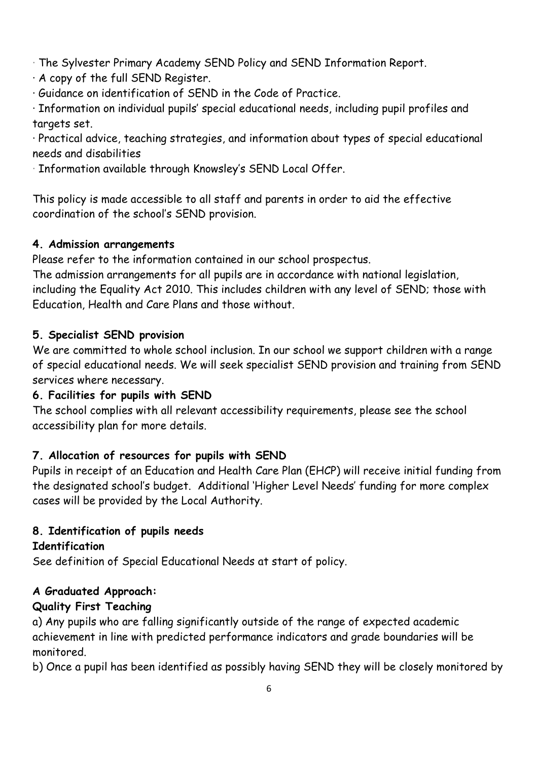· The Sylvester Primary Academy SEND Policy and SEND Information Report.

· A copy of the full SEND Register.

· Guidance on identification of SEND in the Code of Practice.

· Information on individual pupils' special educational needs, including pupil profiles and targets set.

· Practical advice, teaching strategies, and information about types of special educational needs and disabilities

· Information available through Knowsley's SEND Local Offer.

This policy is made accessible to all staff and parents in order to aid the effective coordination of the school's SEND provision.

## **4. Admission arrangements**

Please refer to the information contained in our school prospectus.

The admission arrangements for all pupils are in accordance with national legislation, including the Equality Act 2010. This includes children with any level of SEND; those with Education, Health and Care Plans and those without.

## **5. Specialist SEND provision**

We are committed to whole school inclusion. In our school we support children with a range of special educational needs. We will seek specialist SEND provision and training from SEND services where necessary.

## **6. Facilities for pupils with SEND**

The school complies with all relevant accessibility requirements, please see the school accessibility plan for more details.

## **7. Allocation of resources for pupils with SEND**

Pupils in receipt of an Education and Health Care Plan (EHCP) will receive initial funding from the designated school's budget. Additional 'Higher Level Needs' funding for more complex cases will be provided by the Local Authority.

## **8. Identification of pupils needs**

## **Identification**

See definition of Special Educational Needs at start of policy.

## **A Graduated Approach:**

## **Quality First Teaching**

a) Any pupils who are falling significantly outside of the range of expected academic achievement in line with predicted performance indicators and grade boundaries will be monitored.

b) Once a pupil has been identified as possibly having SEND they will be closely monitored by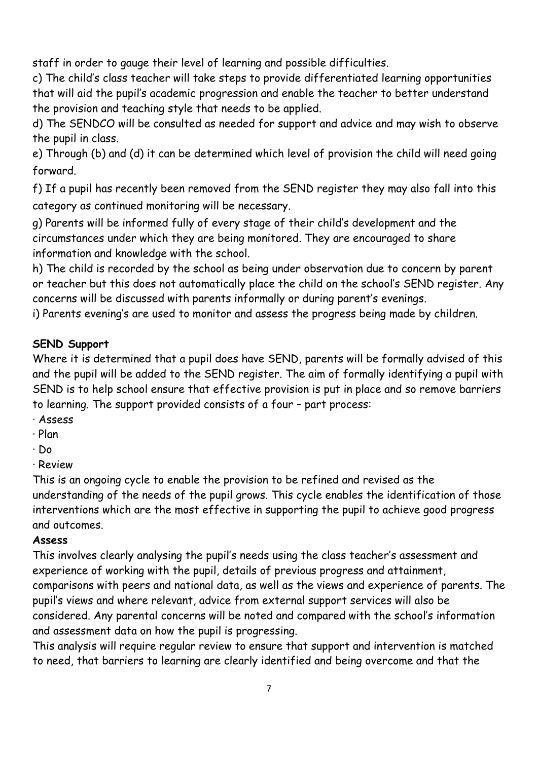staff in order to gauge their level of learning and possible difficulties.

c) The child's class teacher will take steps to provide differentiated learning opportunities that will aid the pupil's academic progression and enable the teacher to better understand the provision and teaching style that needs to be applied.

d) The SENDCO will be consulted as needed for support and advice and may wish to observe the pupil in class.

e) Through (b) and (d) it can be determined which level of provision the child will need going forward.

f) If a pupil has recently been removed from the SEND register they may also fall into this category as continued monitoring will be necessary.

g) Parents will be informed fully of every stage of their child's development and the circumstances under which they are being monitored. They are encouraged to share information and knowledge with the school.

h) The child is recorded by the school as being under observation due to concern by parent or teacher but this does not automatically place the child on the school's SEND register. Any concerns will be discussed with parents informally or during parent's evenings.

i) Parents evening's are used to monitor and assess the progress being made by children.

#### **SEND Support**

Where it is determined that a pupil does have SEND, parents will be formally advised of this and the pupil will be added to the SEND register. The aim of formally identifying a pupil with SEND is to help school ensure that effective provision is put in place and so remove barriers to learning. The support provided consists of a four – part process:

- · Assess
- · Plan
- · Do
- · Review

This is an ongoing cycle to enable the provision to be refined and revised as the understanding of the needs of the pupil grows. This cycle enables the identification of those interventions which are the most effective in supporting the pupil to achieve good progress and outcomes.

#### **Assess**

This involves clearly analysing the pupil's needs using the class teacher's assessment and experience of working with the pupil, details of previous progress and attainment, comparisons with peers and national data, as well as the views and experience of parents. The pupil's views and where relevant, advice from external support services will also be considered. Any parental concerns will be noted and compared with the school's information and assessment data on how the pupil is progressing.

This analysis will require regular review to ensure that support and intervention is matched to need, that barriers to learning are clearly identified and being overcome and that the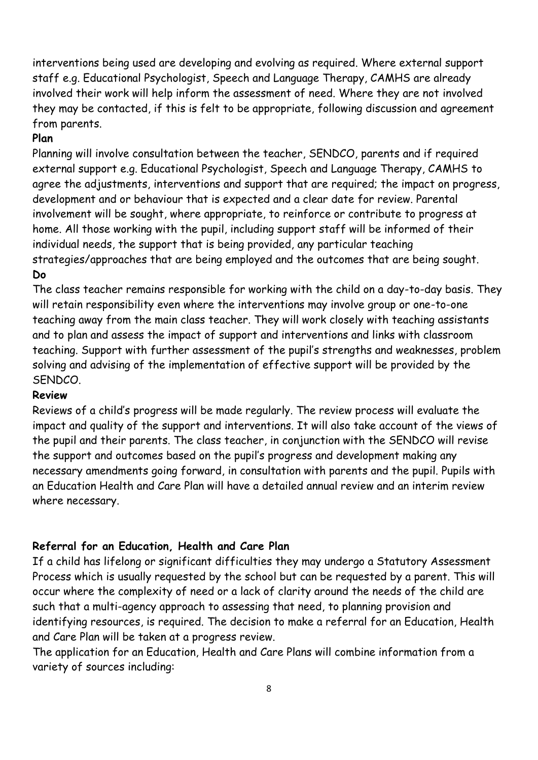interventions being used are developing and evolving as required. Where external support staff e.g. Educational Psychologist, Speech and Language Therapy, CAMHS are already involved their work will help inform the assessment of need. Where they are not involved they may be contacted, if this is felt to be appropriate, following discussion and agreement from parents.

#### **Plan**

Planning will involve consultation between the teacher, SENDCO, parents and if required external support e.g. Educational Psychologist, Speech and Language Therapy, CAMHS to agree the adjustments, interventions and support that are required; the impact on progress, development and or behaviour that is expected and a clear date for review. Parental involvement will be sought, where appropriate, to reinforce or contribute to progress at home. All those working with the pupil, including support staff will be informed of their individual needs, the support that is being provided, any particular teaching strategies/approaches that are being employed and the outcomes that are being sought. **Do**

The class teacher remains responsible for working with the child on a day-to-day basis. They will retain responsibility even where the interventions may involve group or one-to-one teaching away from the main class teacher. They will work closely with teaching assistants and to plan and assess the impact of support and interventions and links with classroom teaching. Support with further assessment of the pupil's strengths and weaknesses, problem solving and advising of the implementation of effective support will be provided by the SENDCO.

#### **Review**

Reviews of a child's progress will be made regularly. The review process will evaluate the impact and quality of the support and interventions. It will also take account of the views of the pupil and their parents. The class teacher, in conjunction with the SENDCO will revise the support and outcomes based on the pupil's progress and development making any necessary amendments going forward, in consultation with parents and the pupil. Pupils with an Education Health and Care Plan will have a detailed annual review and an interim review where necessary.

#### **Referral for an Education, Health and Care Plan**

If a child has lifelong or significant difficulties they may undergo a Statutory Assessment Process which is usually requested by the school but can be requested by a parent. This will occur where the complexity of need or a lack of clarity around the needs of the child are such that a multi-agency approach to assessing that need, to planning provision and identifying resources, is required. The decision to make a referral for an Education, Health and Care Plan will be taken at a progress review.

The application for an Education, Health and Care Plans will combine information from a variety of sources including: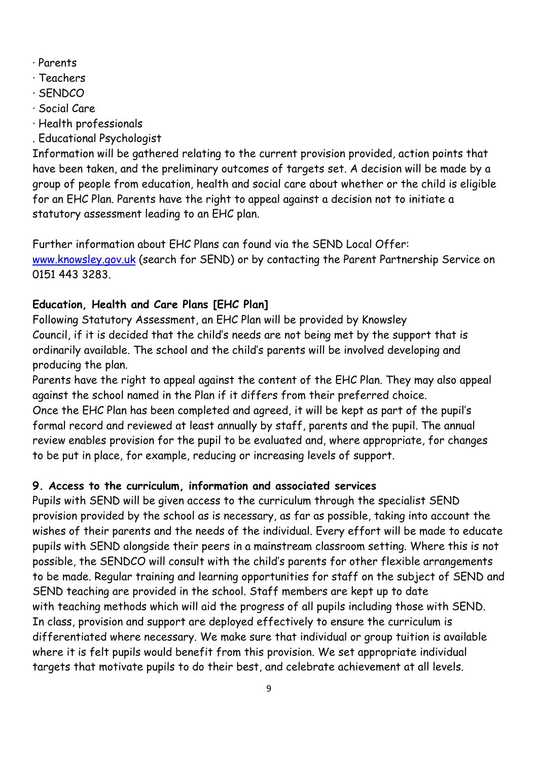- · Parents
- · Teachers
- · SENDCO
- · Social Care
- · Health professionals
- . Educational Psychologist

Information will be gathered relating to the current provision provided, action points that have been taken, and the preliminary outcomes of targets set. A decision will be made by a group of people from education, health and social care about whether or the child is eligible for an EHC Plan. Parents have the right to appeal against a decision not to initiate a statutory assessment leading to an EHC plan.

Further information about EHC Plans can found via the SEND Local Offer: [www.knowsley.gov.uk](http://www.knowsley.gov.uk/) (search for SEND) or by contacting the Parent Partnership Service on 0151 443 3283.

## **Education, Health and Care Plans [EHC Plan]**

Following Statutory Assessment, an EHC Plan will be provided by Knowsley Council, if it is decided that the child's needs are not being met by the support that is ordinarily available. The school and the child's parents will be involved developing and producing the plan.

Parents have the right to appeal against the content of the EHC Plan. They may also appeal against the school named in the Plan if it differs from their preferred choice. Once the EHC Plan has been completed and agreed, it will be kept as part of the pupil's formal record and reviewed at least annually by staff, parents and the pupil. The annual review enables provision for the pupil to be evaluated and, where appropriate, for changes to be put in place, for example, reducing or increasing levels of support.

## **9. Access to the curriculum, information and associated services**

Pupils with SEND will be given access to the curriculum through the specialist SEND provision provided by the school as is necessary, as far as possible, taking into account the wishes of their parents and the needs of the individual. Every effort will be made to educate pupils with SEND alongside their peers in a mainstream classroom setting. Where this is not possible, the SENDCO will consult with the child's parents for other flexible arrangements to be made. Regular training and learning opportunities for staff on the subject of SEND and SEND teaching are provided in the school. Staff members are kept up to date with teaching methods which will aid the progress of all pupils including those with SEND. In class, provision and support are deployed effectively to ensure the curriculum is differentiated where necessary. We make sure that individual or group tuition is available where it is felt pupils would benefit from this provision. We set appropriate individual targets that motivate pupils to do their best, and celebrate achievement at all levels.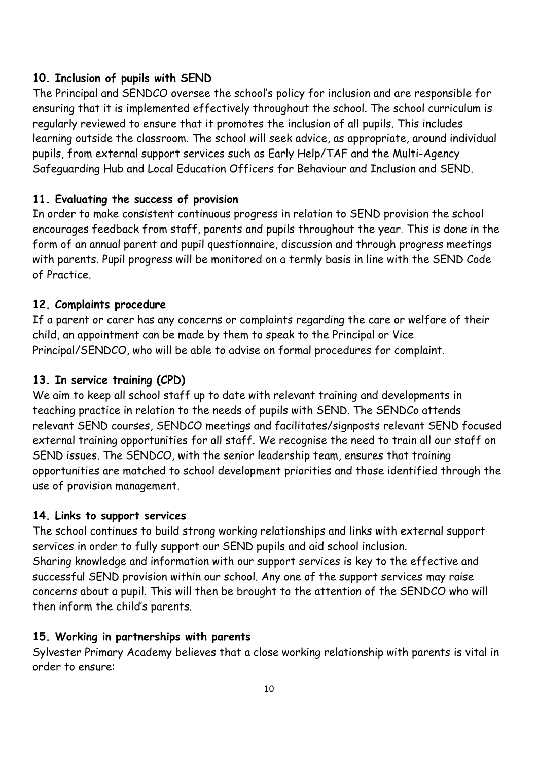#### **10. Inclusion of pupils with SEND**

The Principal and SENDCO oversee the school's policy for inclusion and are responsible for ensuring that it is implemented effectively throughout the school. The school curriculum is regularly reviewed to ensure that it promotes the inclusion of all pupils. This includes learning outside the classroom. The school will seek advice, as appropriate, around individual pupils, from external support services such as Early Help/TAF and the Multi-Agency Safeguarding Hub and Local Education Officers for Behaviour and Inclusion and SEND.

#### **11. Evaluating the success of provision**

In order to make consistent continuous progress in relation to SEND provision the school encourages feedback from staff, parents and pupils throughout the year. This is done in the form of an annual parent and pupil questionnaire, discussion and through progress meetings with parents. Pupil progress will be monitored on a termly basis in line with the SEND Code of Practice.

#### **12. Complaints procedure**

If a parent or carer has any concerns or complaints regarding the care or welfare of their child, an appointment can be made by them to speak to the Principal or Vice Principal/SENDCO, who will be able to advise on formal procedures for complaint.

#### **13. In service training (CPD)**

We aim to keep all school staff up to date with relevant training and developments in teaching practice in relation to the needs of pupils with SEND. The SENDCo attends relevant SEND courses, SENDCO meetings and facilitates/signposts relevant SEND focused external training opportunities for all staff. We recognise the need to train all our staff on SEND issues. The SENDCO, with the senior leadership team, ensures that training opportunities are matched to school development priorities and those identified through the use of provision management.

#### **14. Links to support services**

The school continues to build strong working relationships and links with external support services in order to fully support our SEND pupils and aid school inclusion. Sharing knowledge and information with our support services is key to the effective and successful SEND provision within our school. Any one of the support services may raise concerns about a pupil. This will then be brought to the attention of the SENDCO who will then inform the child's parents.

#### **15. Working in partnerships with parents**

Sylvester Primary Academy believes that a close working relationship with parents is vital in order to ensure: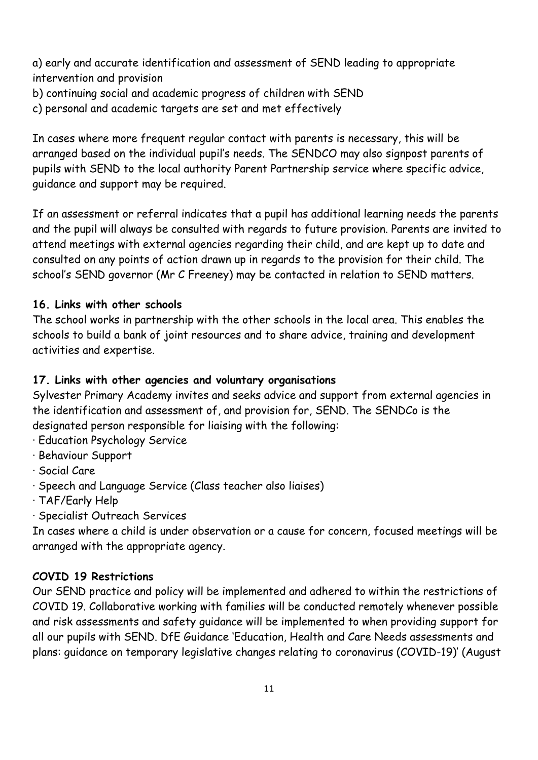a) early and accurate identification and assessment of SEND leading to appropriate intervention and provision

- b) continuing social and academic progress of children with SEND
- c) personal and academic targets are set and met effectively

In cases where more frequent regular contact with parents is necessary, this will be arranged based on the individual pupil's needs. The SENDCO may also signpost parents of pupils with SEND to the local authority Parent Partnership service where specific advice, guidance and support may be required.

If an assessment or referral indicates that a pupil has additional learning needs the parents and the pupil will always be consulted with regards to future provision. Parents are invited to attend meetings with external agencies regarding their child, and are kept up to date and consulted on any points of action drawn up in regards to the provision for their child. The school's SEND governor (Mr C Freeney) may be contacted in relation to SEND matters.

#### **16. Links with other schools**

The school works in partnership with the other schools in the local area. This enables the schools to build a bank of joint resources and to share advice, training and development activities and expertise.

#### **17. Links with other agencies and voluntary organisations**

Sylvester Primary Academy invites and seeks advice and support from external agencies in the identification and assessment of, and provision for, SEND. The SENDCo is the designated person responsible for liaising with the following:

- · Education Psychology Service
- · Behaviour Support
- · Social Care
- · Speech and Language Service (Class teacher also liaises)
- · TAF/Early Help
- · Specialist Outreach Services

In cases where a child is under observation or a cause for concern, focused meetings will be arranged with the appropriate agency.

#### **COVID 19 Restrictions**

Our SEND practice and policy will be implemented and adhered to within the restrictions of COVID 19. Collaborative working with families will be conducted remotely whenever possible and risk assessments and safety guidance will be implemented to when providing support for all our pupils with SEND. DfE Guidance 'Education, Health and Care Needs assessments and plans: guidance on temporary legislative changes relating to coronavirus (COVID-19)' (August